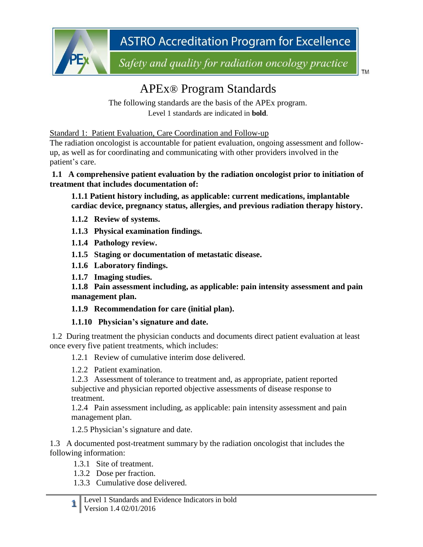

Safety and quality for radiation oncology practice

**TM** 

# APEx® Program Standards

The following standards are the basis of the APEx program. Level 1 standards are indicated in **bold**.

Standard 1: Patient Evaluation, Care Coordination and Follow-up

The radiation oncologist is accountable for patient evaluation, ongoing assessment and followup, as well as for coordinating and communicating with other providers involved in the patient's care.

#### **1.1 A comprehensive patient evaluation by the radiation oncologist prior to initiation of treatment that includes documentation of:**

**1.1.1 Patient history including, as applicable: current medications, implantable cardiac device, pregnancy status, allergies, and previous radiation therapy history.**

- **1.1.2 Review of systems.**
- **1.1.3 Physical examination findings.**
- **1.1.4 Pathology review.**
- **1.1.5 Staging or documentation of metastatic disease.**
- **1.1.6 Laboratory findings.**
- **1.1.7 Imaging studies.**

**1.1.8 Pain assessment including, as applicable: pain intensity assessment and pain management plan.**

#### **1.1.9 Recommendation for care (initial plan).**

#### **1.1.10 Physician's signature and date.**

1.2 During treatment the physician conducts and documents direct patient evaluation at least once every five patient treatments, which includes:

- 1.2.1 Review of cumulative interim dose delivered.
- 1.2.2 Patient examination.

1.2.3 Assessment of tolerance to treatment and, as appropriate, patient reported subjective and physician reported objective assessments of disease response to treatment.

1.2.4 Pain assessment including, as applicable: pain intensity assessment and pain management plan.

1.2.5 Physician's signature and date.

1.3 A documented post-treatment summary by the radiation oncologist that includes the following information:

- 1.3.1 Site of treatment.
- 1.3.2 Dose per fraction.
- 1.3.3 Cumulative dose delivered.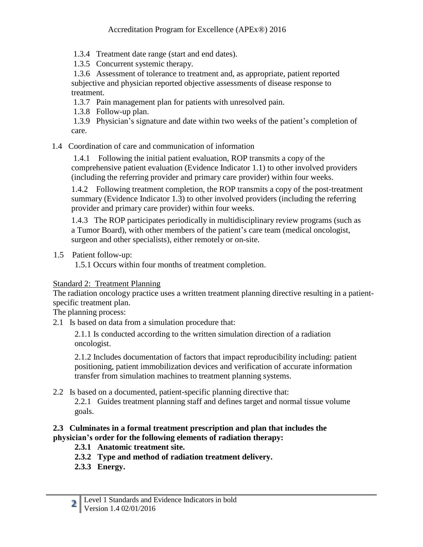1.3.4 Treatment date range (start and end dates).

1.3.5 Concurrent systemic therapy.

1.3.6 Assessment of tolerance to treatment and, as appropriate, patient reported subjective and physician reported objective assessments of disease response to treatment.

1.3.7 Pain management plan for patients with unresolved pain.

1.3.8 Follow-up plan.

1.3.9 Physician's signature and date within two weeks of the patient's completion of care.

1.4 Coordination of care and communication of information

1.4.1 Following the initial patient evaluation, ROP transmits a copy of the comprehensive patient evaluation (Evidence Indicator 1.1) to other involved providers (including the referring provider and primary care provider) within four weeks.

1.4.2 Following treatment completion, the ROP transmits a copy of the post-treatment summary (Evidence Indicator 1.3) to other involved providers (including the referring provider and primary care provider) within four weeks.

1.4.3 The ROP participates periodically in multidisciplinary review programs (such as a Tumor Board), with other members of the patient's care team (medical oncologist, surgeon and other specialists), either remotely or on-site.

1.5 Patient follow-up:

1.5.1 Occurs within four months of treatment completion.

## Standard 2: Treatment Planning

The radiation oncology practice uses a written treatment planning directive resulting in a patientspecific treatment plan.

The planning process:

2.1 Is based on data from a simulation procedure that:

2.1.1 Is conducted according to the written simulation direction of a radiation oncologist.

2.1.2 Includes documentation of factors that impact reproducibility including: patient positioning, patient immobilization devices and verification of accurate information transfer from simulation machines to treatment planning systems.

## 2.2 Is based on a documented, patient-specific planning directive that:

2.2.1 Guides treatment planning staff and defines target and normal tissue volume goals.

#### **2.3 Culminates in a formal treatment prescription and plan that includes the physician's order for the following elements of radiation therapy:**

- **2.3.1 Anatomic treatment site.**
- **2.3.2 Type and method of radiation treatment delivery.**
- **2.3.3 Energy.**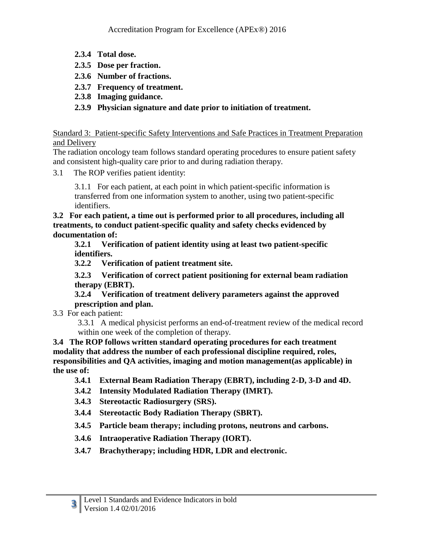- **2.3.4 Total dose.**
- **2.3.5 Dose per fraction.**
- **2.3.6 Number of fractions.**
- **2.3.7 Frequency of treatment.**
- **2.3.8 Imaging guidance.**
- **2.3.9 Physician signature and date prior to initiation of treatment.**

Standard 3: Patient-specific Safety Interventions and Safe Practices in Treatment Preparation and Delivery

The radiation oncology team follows standard operating procedures to ensure patient safety and consistent high-quality care prior to and during radiation therapy.

3.1 The ROP verifies patient identity:

3.1.1 For each patient, at each point in which patient-specific information is transferred from one information system to another, using two patient-specific identifiers.

**3.2 For each patient, a time out is performed prior to all procedures, including all treatments, to conduct patient-specific quality and safety checks evidenced by documentation of:**

**3.2.1 Verification of patient identity using at least two patient-specific identifiers.**

**3.2.2 Verification of patient treatment site.**

**3.2.3 Verification of correct patient positioning for external beam radiation therapy (EBRT).**

**3.2.4 Verification of treatment delivery parameters against the approved prescription and plan.**

3.3 For each patient:

3.3.1 A medical physicist performs an end-of-treatment review of the medical record within one week of the completion of therapy.

**3.4 The ROP follows written standard operating procedures for each treatment modality that address the number of each professional discipline required, roles, responsibilities and QA activities, imaging and motion management(as applicable) in the use of:**

- **3.4.1 External Beam Radiation Therapy (EBRT), including 2-D, 3-D and 4D.**
- **3.4.2 Intensity Modulated Radiation Therapy (IMRT).**
- **3.4.3 Stereotactic Radiosurgery (SRS).**
- **3.4.4 Stereotactic Body Radiation Therapy (SBRT).**
- **3.4.5 Particle beam therapy; including protons, neutrons and carbons.**
- **3.4.6 Intraoperative Radiation Therapy (IORT).**
- **3.4.7 Brachytherapy; including HDR, LDR and electronic.**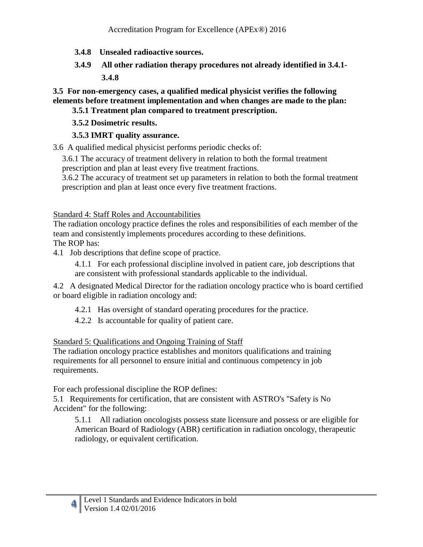- **3.4.8 Unsealed radioactive sources.**
- **3.4.9 All other radiation therapy procedures not already identified in 3.4.1- 3.4.8**

**3.5 For non-emergency cases, a qualified medical physicist verifies the following elements before treatment implementation and when changes are made to the plan:**

## **3.5.1 Treatment plan compared to treatment prescription.**

#### **3.5.2 Dosimetric results.**

## **3.5.3 IMRT quality assurance.**

3.6 A qualified medical physicist performs periodic checks of:

3.6.1 The accuracy of treatment delivery in relation to both the formal treatment

prescription and plan at least every five treatment fractions.

3.6.2 The accuracy of treatment set up parameters in relation to both the formal treatment prescription and plan at least once every five treatment fractions.

Standard 4: Staff Roles and Accountabilities

The radiation oncology practice defines the roles and responsibilities of each member of the team and consistently implements procedures according to these definitions. The ROP has:

4.1 Job descriptions that define scope of practice.

4.1.1 For each professional discipline involved in patient care, job descriptions that are consistent with professional standards applicable to the individual.

4.2 A designated Medical Director for the radiation oncology practice who is board certified or board eligible in radiation oncology and:

- 4.2.1 Has oversight of standard operating procedures for the practice.
- 4.2.2 Is accountable for quality of patient care.

## Standard 5: Qualifications and Ongoing Training of Staff

The radiation oncology practice establishes and monitors qualifications and training requirements for all personnel to ensure initial and continuous competency in job requirements.

For each professional discipline the ROP defines:

**4**

5.1 Requirements for certification, that are consistent with ASTRO's "Safety is No Accident" for the following:

5.1.1 All radiation oncologists possess state licensure and possess or are eligible for American Board of Radiology (ABR) certification in radiation oncology, therapeutic radiology, or equivalent certification.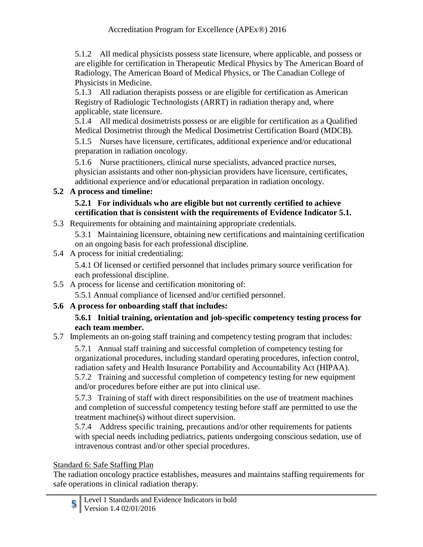5.1.2 All medical physicists possess state licensure, where applicable, and possess or are eligible for certification in Therapeutic Medical Physics by The American Board of Radiology, The American Board of Medical Physics, or The Canadian College of Physicists in Medicine.

5.1.3 All radiation therapists possess or are eligible for certification as American Registry of Radiologic Technologists (ARRT) in radiation therapy and, where applicable, state licensure.

5.1.4 All medical dosimetrists possess or are eligible for certification as a Qualified Medical Dosimetrist through the Medical Dosimetrist Certification Board (MDCB).

5.1.5 Nurses have licensure, certificates, additional experience and/or educational preparation in radiation oncology.

5.1.6 Nurse practitioners, clinical nurse specialists, advanced practice nurses, physician assistants and other non-physician providers have licensure, certificates, additional experience and/or educational preparation in radiation oncology.

## **5.2 A process and timeline:**

#### **5.2.1 For individuals who are eligible but not currently certified to achieve certification that is consistent with the requirements of Evidence Indicator 5.1.**

5.3 Requirements for obtaining and maintaining appropriate credentials.

5.3.1 Maintaining licensure, obtaining new certifications and maintaining certification on an ongoing basis for each professional discipline.

5.4 A process for initial credentialing:

5.4.1 Of licensed or certified personnel that includes primary source verification for each professional discipline.

5.5 A process for license and certification monitoring of:

5.5.1 Annual compliance of licensed and/or certified personnel.

# **5.6 A process for onboarding staff that includes:**

#### **5.6.1 Initial training, orientation and job-specific competency testing process for each team member.**

5.7 Implements an on-going staff training and competency testing program that includes:

5.7.1 Annual staff training and successful completion of competency testing for organizational procedures, including standard operating procedures, infection control, radiation safety and Health Insurance Portability and Accountability Act (HIPAA). 5.7.2 Training and successful completion of competency testing for new equipment and/or procedures before either are put into clinical use.

5.7.3 Training of staff with direct responsibilities on the use of treatment machines and completion of successful competency testing before staff are permitted to use the treatment machine(s) without direct supervision.

5.7.4 Address specific training, precautions and/or other requirements for patients with special needs including pediatrics, patients undergoing conscious sedation, use of intravenous contrast and/or other special procedures.

## Standard 6: Safe Staffing Plan

The radiation oncology practice establishes, measures and maintains staffing requirements for safe operations in clinical radiation therapy.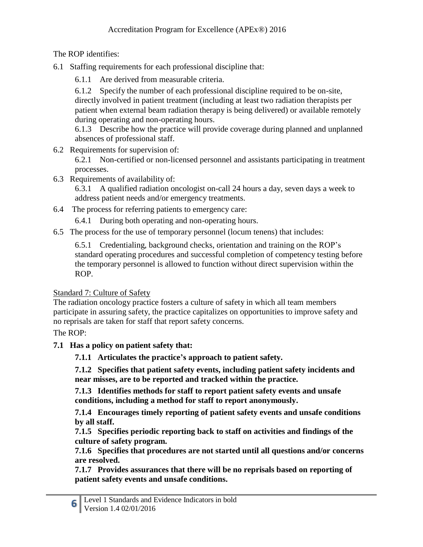The ROP identifies:

- 6.1 Staffing requirements for each professional discipline that:
	- 6.1.1 Are derived from measurable criteria.

6.1.2 Specify the number of each professional discipline required to be on-site, directly involved in patient treatment (including at least two radiation therapists per patient when external beam radiation therapy is being delivered) or available remotely during operating and non-operating hours.

6.1.3 Describe how the practice will provide coverage during planned and unplanned absences of professional staff.

6.2 Requirements for supervision of:

6.2.1 Non-certified or non-licensed personnel and assistants participating in treatment processes.

6.3 Requirements of availability of:

6.3.1 A qualified radiation oncologist on-call 24 hours a day, seven days a week to address patient needs and/or emergency treatments.

6.4 The process for referring patients to emergency care:

6.4.1 During both operating and non-operating hours.

6.5 The process for the use of temporary personnel (locum tenens) that includes:

6.5.1 Credentialing, background checks, orientation and training on the ROP's standard operating procedures and successful completion of competency testing before the temporary personnel is allowed to function without direct supervision within the ROP.

## Standard 7: Culture of Safety

The radiation oncology practice fosters a culture of safety in which all team members participate in assuring safety, the practice capitalizes on opportunities to improve safety and no reprisals are taken for staff that report safety concerns.

The ROP:

## **7.1 Has a policy on patient safety that:**

**7.1.1 Articulates the practice's approach to patient safety.**

**7.1.2 Specifies that patient safety events, including patient safety incidents and near misses, are to be reported and tracked within the practice.**

**7.1.3 Identifies methods for staff to report patient safety events and unsafe conditions, including a method for staff to report anonymously.**

**7.1.4 Encourages timely reporting of patient safety events and unsafe conditions by all staff.**

**7.1.5 Specifies periodic reporting back to staff on activities and findings of the culture of safety program.**

**7.1.6 Specifies that procedures are not started until all questions and/or concerns are resolved.**

**7.1.7 Provides assurances that there will be no reprisals based on reporting of patient safety events and unsafe conditions.**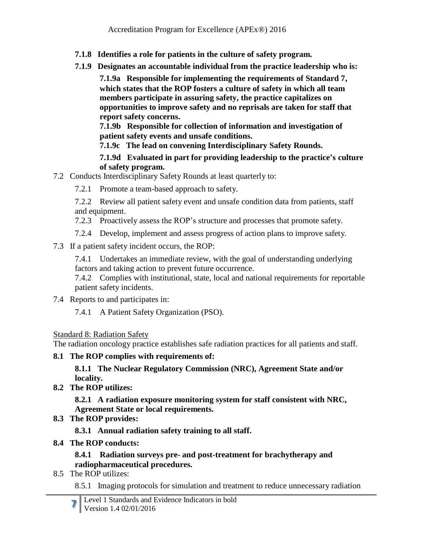- **7.1.8 Identifies a role for patients in the culture of safety program.**
- **7.1.9 Designates an accountable individual from the practice leadership who is:**

**7.1.9a Responsible for implementing the requirements of Standard 7, which states that the ROP fosters a culture of safety in which all team members participate in assuring safety, the practice capitalizes on opportunities to improve safety and no reprisals are taken for staff that report safety concerns.**

**7.1.9b Responsible for collection of information and investigation of patient safety events and unsafe conditions.**

**7.1.9c The lead on convening Interdisciplinary Safety Rounds.**

#### **7.1.9d Evaluated in part for providing leadership to the practice's culture of safety program.**

- 7.2 Conducts Interdisciplinary Safety Rounds at least quarterly to:
	- 7.2.1 Promote a team-based approach to safety.

7.2.2 Review all patient safety event and unsafe condition data from patients, staff and equipment.

- 7.2.3 Proactively assess the ROP's structure and processes that promote safety.
- 7.2.4 Develop, implement and assess progress of action plans to improve safety.
- 7.3 If a patient safety incident occurs, the ROP:

7.4.1 Undertakes an immediate review, with the goal of understanding underlying factors and taking action to prevent future occurrence.

7.4.2 Complies with institutional, state, local and national requirements for reportable patient safety incidents.

7.4 Reports to and participates in:

7.4.1 A Patient Safety Organization (PSO).

## Standard 8: Radiation Safety

The radiation oncology practice establishes safe radiation practices for all patients and staff.

## **8.1 The ROP complies with requirements of:**

#### **8.1.1 The Nuclear Regulatory Commission (NRC), Agreement State and/or locality.**

**8.2 The ROP utilizes:**

**8.2.1 A radiation exposure monitoring system for staff consistent with NRC, Agreement State or local requirements.**

**8.3 The ROP provides:**

**8.3.1 Annual radiation safety training to all staff.**

**8.4 The ROP conducts:**

## **8.4.1 Radiation surveys pre- and post-treatment for brachytherapy and radiopharmaceutical procedures.**

- 8.5 The ROP utilizes:
	- 8.5.1 Imaging protocols for simulation and treatment to reduce unnecessary radiation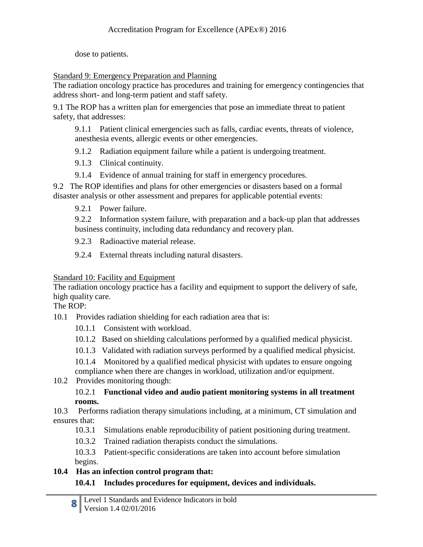dose to patients.

Standard 9: Emergency Preparation and Planning

The radiation oncology practice has procedures and training for emergency contingencies that address short- and long-term patient and staff safety.

9.1 The ROP has a written plan for emergencies that pose an immediate threat to patient safety, that addresses:

9.1.1 Patient clinical emergencies such as falls, cardiac events, threats of violence, anesthesia events, allergic events or other emergencies.

- 9.1.2 Radiation equipment failure while a patient is undergoing treatment.
- 9.1.3 Clinical continuity.
- 9.1.4 Evidence of annual training for staff in emergency procedures.

9.2 The ROP identifies and plans for other emergencies or disasters based on a formal disaster analysis or other assessment and prepares for applicable potential events:

9.2.1 Power failure.

9.2.2 Information system failure, with preparation and a back-up plan that addresses business continuity, including data redundancy and recovery plan.

9.2.3 Radioactive material release.

9.2.4 External threats including natural disasters.

#### Standard 10: Facility and Equipment

The radiation oncology practice has a facility and equipment to support the delivery of safe, high quality care.

The ROP:

- 10.1 Provides radiation shielding for each radiation area that is:
	- 10.1.1 Consistent with workload.
	- 10.1.2 Based on shielding calculations performed by a qualified medical physicist.
	- 10.1.3 Validated with radiation surveys performed by a qualified medical physicist.

10.1.4 Monitored by a qualified medical physicist with updates to ensure ongoing compliance when there are changes in workload, utilization and/or equipment.

10.2 Provides monitoring though:

#### 10.2.1 **Functional video and audio patient monitoring systems in all treatment rooms.**

- 10.3 Performs radiation therapy simulations including, at a minimum, CT simulation and ensures that:
	- 10.3.1 Simulations enable reproducibility of patient positioning during treatment.
	- 10.3.2 Trained radiation therapists conduct the simulations.
	- 10.3.3 Patient-specific considerations are taken into account before simulation begins.

# **10.4 Has an infection control program that:**

## **10.4.1 Includes procedures for equipment, devices and individuals.**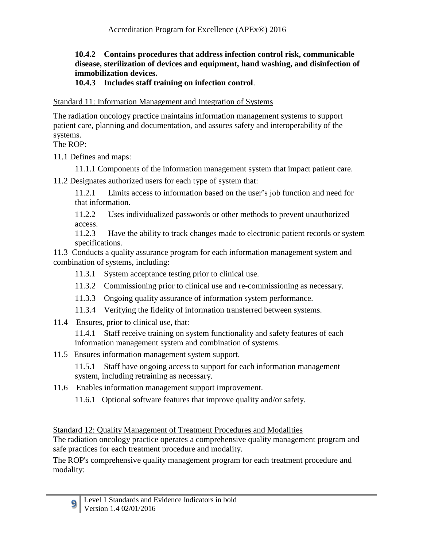#### **10.4.2 Contains procedures that address infection control risk, communicable disease, sterilization of devices and equipment, hand washing, and disinfection of immobilization devices.**

#### **10.4.3 Includes staff training on infection control**.

Standard 11: Information Management and Integration of Systems

The radiation oncology practice maintains information management systems to support patient care, planning and documentation, and assures safety and interoperability of the systems.

The ROP:

**9**

11.1 Defines and maps:

11.1.1 Components of the information management system that impact patient care.

11.2 Designates authorized users for each type of system that:

11.2.1 Limits access to information based on the user's job function and need for that information.

11.2.2 Uses individualized passwords or other methods to prevent unauthorized access.

11.2.3 Have the ability to track changes made to electronic patient records or system specifications.

11.3 Conducts a quality assurance program for each information management system and combination of systems, including:

- 11.3.1 System acceptance testing prior to clinical use.
- 11.3.2 Commissioning prior to clinical use and re-commissioning as necessary.
- 11.3.3 Ongoing quality assurance of information system performance.
- 11.3.4 Verifying the fidelity of information transferred between systems.
- 11.4 Ensures, prior to clinical use, that:

11.4.1 Staff receive training on system functionality and safety features of each information management system and combination of systems.

11.5 Ensures information management system support.

11.5.1 Staff have ongoing access to support for each information management system, including retraining as necessary.

11.6 Enables information management support improvement.

11.6.1 Optional software features that improve quality and/or safety.

Standard 12: Quality Management of Treatment Procedures and Modalities

The radiation oncology practice operates a comprehensive quality management program and safe practices for each treatment procedure and modality.

The ROP's comprehensive quality management program for each treatment procedure and modality: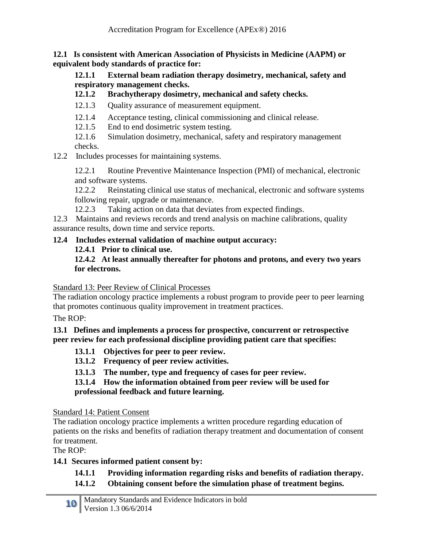**12.1 Is consistent with American Association of Physicists in Medicine (AAPM) or equivalent body standards of practice for:**

**12.1.1 External beam radiation therapy dosimetry, mechanical, safety and respiratory management checks.**

#### **12.1.2 Brachytherapy dosimetry, mechanical and safety checks.**

- 12.1.3 Quality assurance of measurement equipment.
- 12.1.4 Acceptance testing, clinical commissioning and clinical release.
- 12.1.5 End to end dosimetric system testing.

12.1.6 Simulation dosimetry, mechanical, safety and respiratory management checks.

12.2 Includes processes for maintaining systems.

12.2.1 Routine Preventive Maintenance Inspection (PMI) of mechanical, electronic and software systems.

12.2.2 Reinstating clinical use status of mechanical, electronic and software systems following repair, upgrade or maintenance.

12.2.3 Taking action on data that deviates from expected findings.

12.3 Maintains and reviews records and trend analysis on machine calibrations, quality assurance results, down time and service reports.

#### **12.4 Includes external validation of machine output accuracy:**

**12.4.1 Prior to clinical use.**

**12.4.2 At least annually thereafter for photons and protons, and every two years for electrons.**

Standard 13: Peer Review of Clinical Processes

The radiation oncology practice implements a robust program to provide peer to peer learning that promotes continuous quality improvement in treatment practices.

The ROP:

#### **13.1 Defines and implements a process for prospective, concurrent or retrospective peer review for each professional discipline providing patient care that specifies:**

- **13.1.1 Objectives for peer to peer review.**
- **13.1.2 Frequency of peer review activities.**
- **13.1.3 The number, type and frequency of cases for peer review.**

**13.1.4 How the information obtained from peer review will be used for professional feedback and future learning.**

Standard 14: Patient Consent

The radiation oncology practice implements a written procedure regarding education of patients on the risks and benefits of radiation therapy treatment and documentation of consent for treatment.

The ROP:

## **14.1 Secures informed patient consent by:**

## **14.1.1 Providing information regarding risks and benefits of radiation therapy.**

**14.1.2 Obtaining consent before the simulation phase of treatment begins.**